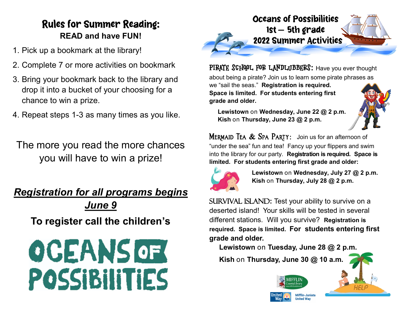## **Rules for Summer Reading: READ and have FUN!**

- 1. Pick up a bookmark at the library!
- 2. Complete 7 or more activities on bookmark
- 3. Bring your bookmark back to the library and drop it into a bucket of your choosing for a chance to win a prize.
- 4. Repeat steps 1-3 as many times as you like.

The more you read the more chances you will have to win a prize!

*Registration for all programs begins June 9* **To register call the children's** 





PIRATE SCHOOL FOR LANDLJBBERS: Have you ever thought

about being a pirate? Join us to learn some pirate phrases as

we "sail the seas." **Registration is required. Space is limited. For students entering first grade and older.**

 **Lewistown** on **Wednesday, June 22 @ 2 p.m. Kish** on **Thursday, June 23 @ 2 p.m.**

**MERMAID TEA & SPA PARTY:** Join us for an afternoon of "under the sea" fun and tea! Fancy up your flippers and swim into the library for our party. **Registration is required. Space is limited. For students entering first grade and older:**



 **Lewistown** on **Wednesday, July 27 @ 2 p.m. Kish** on **Thursday, July 28 @ 2 p.m.**

SURVIVAL ISLAND: Test your ability to survive on a deserted island! Your skills will be tested in several different stations. Will you survive? **Registration is required. Space is limited. For students entering first grade and older.** 

**Lewistown** on **Tuesday, June 28 @ 2 p.m.**

 **Kish** on **Thursday, June 30 @ 10 a.m.**